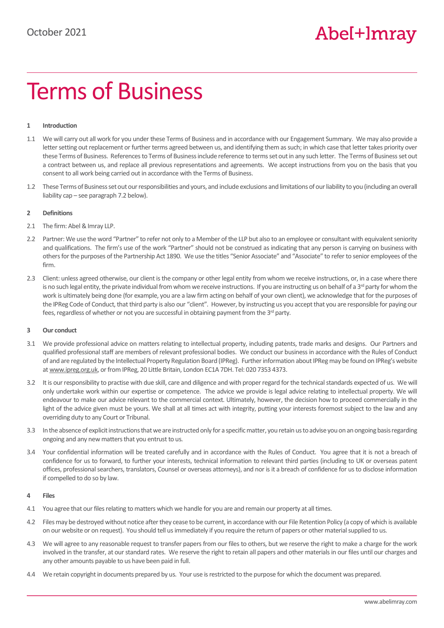# Terms of Business

## **1 Introduction**

- 1.1 We will carry out all work for you under these Terms of Business and in accordance with our Engagement Summary. We may also provide a letter setting out replacement or further terms agreed between us, and identifying them as such; in which case that letter takes priority over these Terms of Business. References to Terms of Business include reference to terms set out in any such letter. The Terms of Business set out a contract between us, and replace all previous representations and agreements. We accept instructions from you on the basis that you consent to all work being carried out in accordance with the Terms of Business.
- 1.2 These Terms of Business set out our responsibilities and yours, and include exclusions and limitations of our liability to you (including an overall liability cap – see paragraph 7.2 below).

## **2 Definitions**

- 2.1 The firm: Abel & Imray LLP.
- 2.2 Partner: We use the word "Partner" to refer not only to a Member of the LLP but also to an employee or consultant with equivalent seniority and qualifications. The firm's use of the work "Partner" should not be construed as indicating that any person is carrying on business with others for the purposes of the Partnership Act 1890. We use the titles "Senior Associate" and "Associate" to refer to senior employees of the firm.
- 2.3 Client: unless agreed otherwise, our client is the company or other legal entity from whom we receive instructions, or, in a case where there is no such legal entity, the private individual from whom we receive instructions. If you are instructing us on behalf of a  $3<sup>rd</sup>$  party for whom the work is ultimately being done (for example, you are a law firm acting on behalf of your own client), we acknowledge that for the purposes of the IPReg Code of Conduct, that third party is also our "client". However, by instructing us you accept that you are responsible for paying our fees, regardless of whether or not you are successful in obtaining payment from the 3<sup>rd</sup> party.

## **3 Our conduct**

- 3.1 We provide professional advice on matters relating to intellectual property, including patents, trade marks and designs. Our Partners and qualified professional staff are members of relevant professional bodies. We conduct our business in accordance with the Rules of Conduct of and are regulated by the Intellectual Property Regulation Board (IPReg). Further information about IPReg may be found on IPReg's website a[t www.ipreg.org.uk,](http://www.ipreg.org.uk/) or from IPReg, 20 Little Britain, London EC1A 7DH. Tel: 020 7353 4373.
- 3.2 It is our responsibility to practise with due skill, care and diligence and with proper regard for the technical standards expected of us. We will only undertake work within our expertise or competence. The advice we provide is legal advice relating to intellectual property. We will endeavour to make our advice relevant to the commercial context. Ultimately, however, the decision how to proceed commercially in the light of the advice given must be yours. We shall at all times act with integrity, putting your interests foremost subject to the law and any overriding duty to any Court or Tribunal.
- 3.3 In the absence of explicit instructions that we are instructed only for a specific matter, you retain us to advise you on an ongoing basis regarding ongoing and any new matters that you entrust to us.
- 3.4 Your confidential information will be treated carefully and in accordance with the Rules of Conduct. You agree that it is not a breach of confidence for us to forward, to further your interests, technical information to relevant third parties (including to UK or overseas patent offices, professional searchers, translators, Counsel or overseas attorneys), and nor is it a breach of confidence for us to disclose information if compelled to do so by law.

## **4 Files**

- 4.1 You agree that our files relating to matters which we handle for you are and remain our property at all times.
- 4.2 Files may be destroyed without notice after they cease to be current, in accordance with our File Retention Policy (a copy of which is available on our website or on request). You should tell us immediately if you require the return of papers or other material supplied to us.
- 4.3 We will agree to any reasonable request to transfer papers from our files to others, but we reserve the right to make a charge for the work involved in the transfer, at our standard rates. We reserve the right to retain all papers and other materials in our files until our charges and any other amounts payable to us have been paid in full.
- 4.4 We retain copyright in documents prepared by us. Your use is restricted to the purpose for which the document was prepared.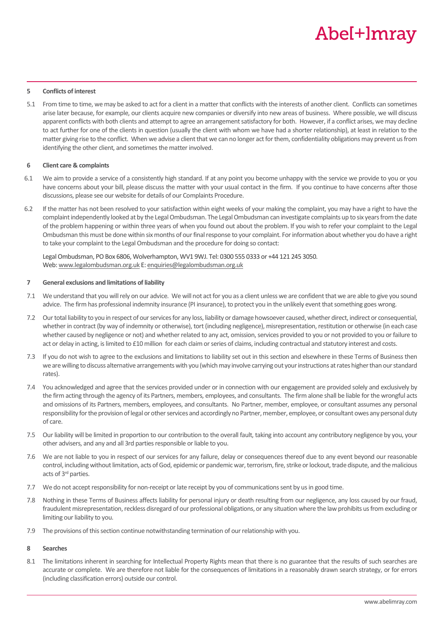## **5 Conflicts of interest**

5.1 From time to time, we may be asked to act for a client in a matter that conflicts with the interests of another client. Conflicts can sometimes arise later because, for example, our clients acquire new companies or diversify into new areas of business. Where possible, we will discuss apparent conflicts with both clients and attempt to agree an arrangement satisfactory for both. However, if a conflict arises, we may decline to act further for one of the clients in question (usually the client with whom we have had a shorter relationship), at least in relation to the matter giving rise to the conflict. When we advise a client that we can no longer act for them, confidentiality obligations may prevent us from identifying the other client, and sometimes the matter involved.

## **6 Client care & complaints**

- 6.1 We aim to provide a service of a consistently high standard. If at any point you become unhappy with the service we provide to you or you have concerns about your bill, please discuss the matter with your usual contact in the firm. If you continue to have concerns after those discussions, please see our website for details of our Complaints Procedure.
- 6.2 If the matter has not been resolved to your satisfaction within eight weeks of your making the complaint, you may have a right to have the complaint independently looked at by the Legal Ombudsman. The Legal Ombudsman can investigate complaints up to six years from the date of the problem happening or within three years of when you found out about the problem. If you wish to refer your complaint to the Legal Ombudsman this must be done within six months of our final response to your complaint. For information about whether you do have a right to take your complaint to the Legal Ombudsman and the procedure for doing so contact:

Legal Ombudsman, PO Box 6806, Wolverhampton, WV1 9WJ. Tel: 0300 555 0333 or +44 121 245 3050. Web: [www.legalombudsman.org.uk](http://www.legalombudsman.org.uk/) E[: enquiries@legalombudsman.org.uk](mailto:enquiries@legalombudsman.org.uk)

## **7 General exclusions and limitations of liability**

- 7.1 We understand that you will rely on our advice. We will not act for you as a client unless we are confident that we are able to give you sound advice. The firm has professional indemnity insurance (PI insurance), to protect you in the unlikely event that something goes wrong.
- 7.2 Our total liability to you in respect of our services for any loss, liability or damage howsoever caused, whether direct, indirect or consequential, whether in contract (by way of indemnity or otherwise), tort (including negligence), misrepresentation, restitution or otherwise (in each case whether caused by negligence or not) and whether related to any act, omission, services provided to you or not provided to you or failure to act or delay in acting, is limited to £10 million for each claim or series of claims, including contractual and statutory interest and costs.
- 7.3 If you do not wish to agree to the exclusions and limitations to liability set out in this section and elsewhere in these Terms of Business then we are willing to discuss alternative arrangements with you (which may involve carrying out your instructions at rates higher than our standard rates).
- <span id="page-1-0"></span>7.4 You acknowledged and agree that the services provided under or in connection with our engagement are provided solely and exclusively by the firm acting through the agency of its Partners, members, employees, and consultants. The firm alone shall be liable for the wrongful acts and omissions of its Partners, members, employees, and consultants. No Partner, member, employee, or consultant assumes any personal responsibility for the provision of legal or other services and accordingly no Partner, member, employee, or consultant owes any personal duty of care.
- 7.5 Our liability will be limited in proportion to our contribution to the overall fault, taking into account any contributory negligence by you, your other advisers, and any and all 3rd parties responsible or liable to you.
- 7.6 We are not liable to you in respect of our services for any failure, delay or consequences thereof due to any event beyond our reasonable control, including without limitation, acts of God, epidemic or pandemic war, terrorism, fire, strike or lockout, trade dispute, and the malicious acts of 3rd parties.
- 7.7 We do not accept responsibility for non-receipt or late receipt by you of communications sent by us in good time.
- 7.8 Nothing in these Terms of Business affects liability for personal injury or death resulting from our negligence, any loss caused by our fraud, fraudulent misrepresentation, reckless disregard of our professional obligations, or any situation where the law prohibits us from excluding or limiting our liability to you.
- 7.9 The provisions of this section continue notwithstanding termination of our relationship with you.

## **8 Searches**

8.1 The limitations inherent in searching for Intellectual Property Rights mean that there is no guarantee that the results of such searches are accurate or complete. We are therefore not liable for the consequences of limitations in a reasonably drawn search strategy, or for errors (including classification errors) outside our control.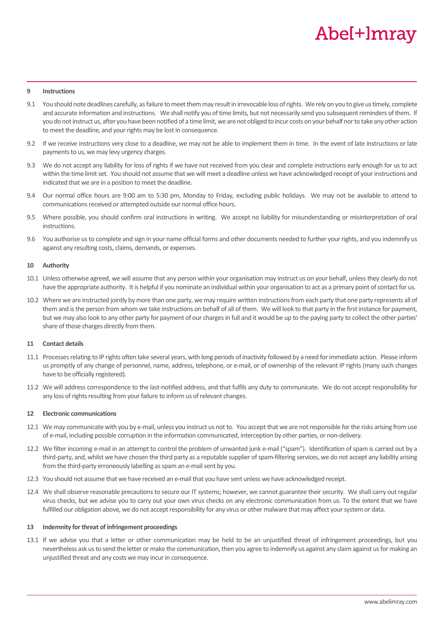### **9 Instructions**

- 9.1 You should note deadlines carefully, as failure to meet them may result in irrevocable loss of rights. We rely on you to give us timely, complete and accurate information and instructions. We shall notify you of time limits, but not necessarily send you subsequent reminders of them. If you do not instruct us, after you have been notified of a time limit, we are not obliged to incur costs on your behalf nor to take any other action to meet the deadline, and your rights may be lost in consequence.
- 9.2 If we receive instructions very close to a deadline, we may not be able to implement them in time. In the event of late instructions or late payments to us, we may levy urgency charges.
- 9.3 We do not accept any liability for loss of rights if we have not received from you clear and complete instructions early enough for us to act within the time limit set. You should not assume that we will meet a deadline unless we have acknowledged receipt of your instructions and indicated that we are in a position to meet the deadline.
- 9.4 Our normal office hours are 9:00 am to 5:30 pm, Monday to Friday, excluding public holidays. We may not be available to attend to communications received or attempted outside our normal office hours.
- 9.5 Where possible, you should confirm oral instructions in writing. We accept no liability for misunderstanding or misinterpretation of oral instructions.
- 9.6 You authorise us to complete and sign in your name official forms and other documents needed to further your rights, and you indemnify us against any resulting costs, claims, demands, or expenses.

### **10 Authority**

- 10.1 Unless otherwise agreed, we will assume that any person within your organisation may instruct us on your behalf, unless they clearly do not have the appropriate authority. It is helpful if you nominate an individual within your organisation to act as a primary point of contact for us.
- 10.2 Where we are instructed jointly by more than one party, we may require written instructions from each party that one party represents all of them and is the person from whom we take instructions on behalf of all of them. We will look to that party in the first instance for payment, but we may also look to any other party for payment of our charges in full and it would be up to the paying party to collect the other parties' share of those charges directly from them.

## **11 Contact details**

- 11.1 Processes relating to IP rights often take several years, with long periods of inactivity followed by a need for immediate action. Please inform us promptly of any change of personnel, name, address, telephone, or e-mail, or of ownership of the relevant IP rights (many such changes have to be officially registered).
- 11.2 We will address correspondence to the last-notified address, and that fulfils any duty to communicate. We do not accept responsibility for any loss of rights resulting from your failure to inform us of relevant changes.

### **12 Electronic communications**

- 12.1 We may communicate with you by e-mail, unless you instruct us not to. You accept that we are not responsible for the risks arising from use of e-mail, including possible corruption in the information communicated, interception by other parties, or non-delivery.
- 12.2 We filter incoming e-mail in an attempt to control the problem of unwanted junk e-mail ("spam"). Identification of spam is carried out by a third-party, and, whilst we have chosen the third party as a reputable supplier of spam-filtering services, we do not accept any liability arising from the third-party erroneously labelling as spam an e-mail sent by you.
- 12.3 You should not assume that we have received an e-mail that you have sent unless we have acknowledged receipt.
- 12.4 We shall observe reasonable precautions to secure our IT systems; however, we cannot guarantee their security. We shall carry out regular virus checks, but we advise you to carry out your own virus checks on any electronic communication from us. To the extent that we have fulfilled our obligation above, we do not accept responsibility for any virus or other malware that may affect your system or data.

## **13 Indemnity for threat of infringement proceedings**

13.1 If we advise you that a letter or other communication may be held to be an unjustified threat of infringement proceedings, but you nevertheless ask us to send the letter or make the communication, then you agree to indemnify us against any claim against us for making an unjustified threat and any costs we may incur in consequence.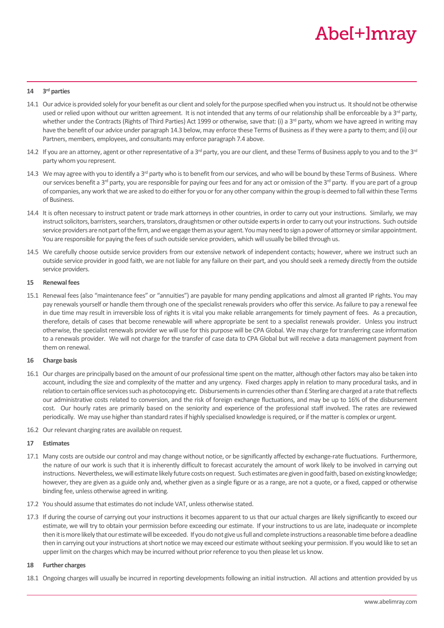#### **14 3 rd parties**

- 14.1 Our advice is provided solely for your benefit as our client and solely for the purpose specified when you instruct us. It should not be otherwise used or relied upon without our written agreement. It is not intended that any terms of our relationship shall be enforceable by a 3<sup>rd</sup> party, whether under the Contracts (Rights of Third Parties) Act 1999 or otherwise, save that: (i) a 3<sup>rd</sup> party, whom we have agreed in writing may have the benefit of our advice under paragraph 14.3 below, may enforce these Terms of Business as if they were a party to them; and (ii) our Partners, members, employees, and consultants may enforce paragrap[h 7.4](#page-1-0) above.
- 14.2 If you are an attorney, agent or other representative of a 3<sup>rd</sup> party, you are our client, and these Terms of Business apply to you and to the 3<sup>rd</sup> party whom you represent.
- 14.3 We may agree with you to identify a  $3<sup>rd</sup>$  party who is to benefit from our services, and who will be bound by these Terms of Business. Where our services benefit a 3<sup>rd</sup> party, you are responsible for paying our fees and for any act or omission of the 3<sup>rd</sup> party. If you are part of a group of companies, any work that we are asked to do either for you or for any other company within the group is deemed to fall within these Terms of Business.
- 14.4 It is often necessary to instruct patent or trade mark attorneys in other countries, in order to carry out your instructions. Similarly, we may instruct solicitors, barristers, searchers, translators, draughtsmen or other outside experts in order to carry out your instructions. Such outside service providers are not part of the firm, and we engage them as your agent. You may need to sign a power of attorney or similar appointment. You are responsible for paying the fees of such outside service providers, which will usually be billed through us.
- 14.5 We carefully choose outside service providers from our extensive network of independent contacts; however, where we instruct such an outside service provider in good faith, we are not liable for any failure on their part, and you should seek a remedy directly from the outside service providers.

## **15 Renewal fees**

15.1 Renewal fees (also "maintenance fees" or "annuities") are payable for many pending applications and almost all granted IP rights. You may pay renewals yourself or handle them through one of the specialist renewals providers who offer this service. As failure to pay a renewal fee in due time may result in irreversible loss of rights it is vital you make reliable arrangements for timely payment of fees. As a precaution, therefore, details of cases that become renewable will where appropriate be sent to a specialist renewals provider. Unless you instruct otherwise, the specialist renewals provider we will use for this purpose will be CPA Global. We may charge for transferring case information to a renewals provider. We will not charge for the transfer of case data to CPA Global but will receive a data management payment from them on renewal.

## **16 Charge basis**

- 16.1 Our charges are principally based on the amount of our professional time spent on the matter, although other factors may also be taken into account, including the size and complexity of the matter and any urgency. Fixed charges apply in relation to many procedural tasks, and in relation to certain office services such as photocopying etc. Disbursements in currencies other than £ Sterling are charged at a rate that reflects our administrative costs related to conversion, and the risk of foreign exchange fluctuations, and may be up to 16% of the disbursement cost. Our hourly rates are primarily based on the seniority and experience of the professional staff involved. The rates are reviewed periodically. We may use higher than standard rates if highly specialised knowledge is required, or if the matter is complex or urgent.
- 16.2 Our relevant charging rates are available on request.

## **17 Estimates**

- 17.1 Many costs are outside our control and may change without notice, or be significantly affected by exchange-rate fluctuations. Furthermore, the nature of our work is such that it is inherently difficult to forecast accurately the amount of work likely to be involved in carrying out instructions. Nevertheless, we will estimate likely future costs on request. Such estimates are given in good faith, based on existing knowledge; however, they are given as a guide only and, whether given as a single figure or as a range, are not a quote, or a fixed, capped or otherwise binding fee, unless otherwise agreed in writing.
- 17.2 You should assume that estimates do not include VAT, unless otherwise stated.
- 17.3 If during the course of carrying out your instructions it becomes apparent to us that our actual charges are likely significantly to exceed our estimate, we will try to obtain your permission before exceeding our estimate. If your instructions to us are late, inadequate or incomplete then it is more likely that our estimate will be exceeded. If you do not give us full and complete instructions a reasonable time before a deadline then in carrying out your instructions at short notice we may exceed our estimate without seeking your permission. If you would like to set an upper limit on the charges which may be incurred without prior reference to you then please let us know.

## **18 Further charges**

18.1 Ongoing charges will usually be incurred in reporting developments following an initial instruction. All actions and attention provided by us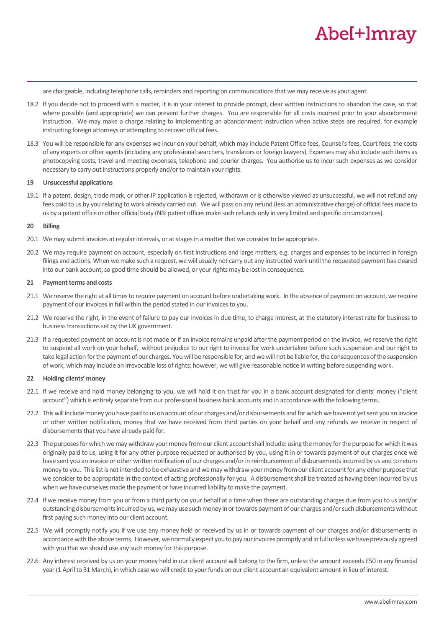are chargeable, including telephone calls, reminders and reporting on communications that we may receive as your agent.

- 18.2 If you decide not to proceed with a matter, it is in your interest to provide prompt, clear written instructions to abandon the case, so that where possible (and appropriate) we can prevent further charges. You are responsible for all costs incurred prior to your abandonment instruction. We may make a charge relating to implementing an abandonment instruction when active steps are required, for example instructing foreign attorneys or attempting to recover official fees.
- 18.3 You will be responsible for any expenses we incur on your behalf, which may include Patent Office fees, Counsel's fees, Court fees, the costs of any experts or other agents (including any professional searchers, translators or foreign lawyers). Expenses may also include such items as photocopying costs, travel and meeting expenses, telephone and courier charges. You authorise us to incur such expenses as we consider necessary to carry out instructions properly and/or to maintain your rights.

## **19 Unsuccessful applications**

19.1 If a patent, design, trade mark, or other IP application is rejected, withdrawn or is otherwise viewed as unsuccessful, we will not refund any fees paid to us by you relating to work already carried out. We will pass on any refund (less an administrative charge) of official fees made to us by a patent office or other official body (NB: patent offices make such refunds only in very limited and specific circumstances).

## **20 Billing**

- 20.1 We may submit invoices at regular intervals, or at stages in a matter that we consider to be appropriate.
- 20.2 We may require payment on account, especially on first instructions and large matters, e.g. charges and expenses to be incurred in foreign filings and actions. When we make such a request, we will usually not carry out any instructed work until the requested payment has cleared into our bank account, so good time should be allowed, or your rights may be lost in consequence.

## **21 Payment terms and costs**

- 21.1 We reserve the right at all times to require payment on account before undertaking work. In the absence of payment on account, we require payment of our invoices in full within the period stated in our invoices to you.
- 21.2 We reserve the right, in the event of failure to pay our invoices in due time, to charge interest, at the statutory interest rate for business to business transactions set by the UK government.
- 21.3 If a requested payment on account is not made or if an invoice remains unpaid after the payment period on the invoice, we reserve the right to suspend all work on your behalf, without prejudice to our right to invoice for work undertaken before such suspension and our right to take legal action for the payment of our charges. You will be responsible for, and we will not be liable for, the consequences of the suspension of work, which may include an irrevocable loss of rights; however, we will give reasonable notice in writing before suspending work.

## **22 Holding clients' money**

- 22.1 If we receive and hold money belonging to you, we will hold it on trust for you in a bank account designated for clients' money ("client account") which is entirely separate from our professional business bank accounts and in accordance with the following terms.
- 22.2 This will include money you have paid to us on account of our charges and/or disbursements and for which we have not yet sent you an invoice or other written notification, money that we have received from third parties on your behalf and any refunds we receive in respect of disbursements that you have already paid for.
- 22.3 The purposes for which we may withdraw your money from our client account shall include: using the money for the purpose for which it was originally paid to us, using it for any other purpose requested or authorised by you, using it in or towards payment of our charges once we have sent you an invoice or other written notification of our charges and/or in reimbursement of disbursements incurred by us and to return money to you. This list is not intended to be exhaustive and we may withdraw your money from our client account for any other purpose that we consider to be appropriate in the context of acting professionally for you. A disbursement shall be treated as having been incurred by us when we have ourselves made the payment or have incurred liability to make the payment.
- 22.4 If we receive money from you or from a third party on your behalf at a time when there are outstanding charges due from you to us and/or outstanding disbursements incurred by us, we may use such money in or towards payment of our charges and/or such disbursements without first paying such money into our client account.
- 22.5 We will promptly notify you if we use any money held or received by us in or towards payment of our charges and/or disbursements in accordance with the above terms. However, we normally expect you to pay our invoices promptly and in full unless we have previously agreed with you that we should use any such money for this purpose.
- 22.6 Any interest received by us on your money held in our client account will belong to the firm, unless the amount exceeds £50 in any financial year (1 April to 31 March), in which case we will credit to your funds on our client account an equivalent amount in lieu of interest.